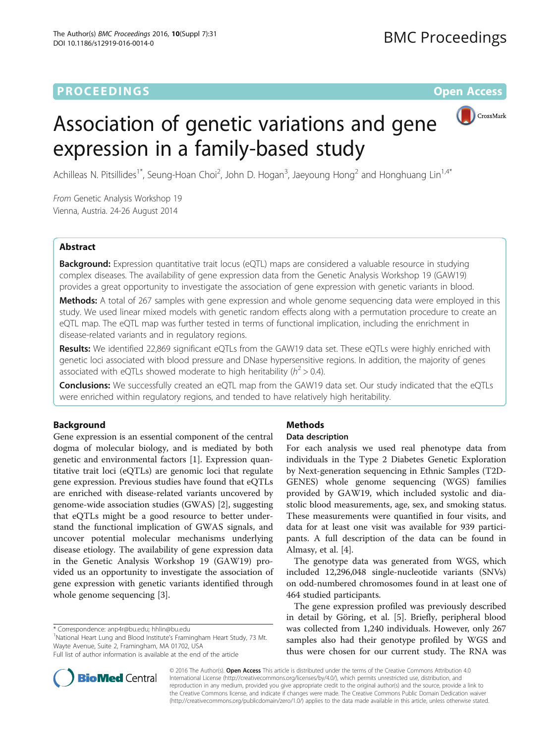# **PROCEEDINGS CONSUMING S** Open Access



# Association of genetic variations and gene expression in a family-based study

Achilleas N. Pitsillides<sup>1\*</sup>, Seung-Hoan Choi<sup>2</sup>, John D. Hogan<sup>3</sup>, Jaeyoung Hong<sup>2</sup> and Honghuang Lin<sup>1,4\*</sup>

From Genetic Analysis Workshop 19 Vienna, Austria. 24-26 August 2014

# Abstract

**Background:** Expression quantitative trait locus (eQTL) maps are considered a valuable resource in studying complex diseases. The availability of gene expression data from the Genetic Analysis Workshop 19 (GAW19) provides a great opportunity to investigate the association of gene expression with genetic variants in blood.

Methods: A total of 267 samples with gene expression and whole genome sequencing data were employed in this study. We used linear mixed models with genetic random effects along with a permutation procedure to create an eQTL map. The eQTL map was further tested in terms of functional implication, including the enrichment in disease-related variants and in regulatory regions.

Results: We identified 22,869 significant eQTLs from the GAW19 data set. These eQTLs were highly enriched with genetic loci associated with blood pressure and DNase hypersensitive regions. In addition, the majority of genes associated with eQTLs showed moderate to high heritability ( $h^2 > 0.4$ ).

Conclusions: We successfully created an eQTL map from the GAW19 data set. Our study indicated that the eQTLs were enriched within regulatory regions, and tended to have relatively high heritability.

# Background

Gene expression is an essential component of the central dogma of molecular biology, and is mediated by both genetic and environmental factors [[1\]](#page-3-0). Expression quantitative trait loci (eQTLs) are genomic loci that regulate gene expression. Previous studies have found that eQTLs are enriched with disease-related variants uncovered by genome-wide association studies (GWAS) [[2\]](#page-3-0), suggesting that eQTLs might be a good resource to better understand the functional implication of GWAS signals, and uncover potential molecular mechanisms underlying disease etiology. The availability of gene expression data in the Genetic Analysis Workshop 19 (GAW19) provided us an opportunity to investigate the association of gene expression with genetic variants identified through whole genome sequencing [[3\]](#page-3-0).

\* Correspondence: [anp4r@bu.edu;](mailto:anp4r@bu.edu) [hhlin@bu.edu](mailto:hhlin@bu.edu) <sup>1</sup>

<sup>1</sup>National Heart Lung and Blood Institute's Framingham Heart Study, 73 Mt. Wayte Avenue, Suite 2, Framingham, MA 01702, USA



# Data description

For each analysis we used real phenotype data from individuals in the Type 2 Diabetes Genetic Exploration by Next-generation sequencing in Ethnic Samples (T2D-GENES) whole genome sequencing (WGS) families provided by GAW19, which included systolic and diastolic blood measurements, age, sex, and smoking status. These measurements were quantified in four visits, and data for at least one visit was available for 939 participants. A full description of the data can be found in Almasy, et al. [[4\]](#page-3-0).

The genotype data was generated from WGS, which included 12,296,048 single-nucleotide variants (SNVs) on odd-numbered chromosomes found in at least one of 464 studied participants.

The gene expression profiled was previously described in detail by Göring, et al. [\[5\]](#page-3-0). Briefly, peripheral blood was collected from 1,240 individuals. However, only 267 samples also had their genotype profiled by WGS and thus were chosen for our current study. The RNA was



© 2016 The Author(s). Open Access This article is distributed under the terms of the Creative Commons Attribution 4.0 International License [\(http://creativecommons.org/licenses/by/4.0/](http://creativecommons.org/licenses/by/4.0/)), which permits unrestricted use, distribution, and reproduction in any medium, provided you give appropriate credit to the original author(s) and the source, provide a link to the Creative Commons license, and indicate if changes were made. The Creative Commons Public Domain Dedication waiver [\(http://creativecommons.org/publicdomain/zero/1.0/](http://creativecommons.org/publicdomain/zero/1.0/)) applies to the data made available in this article, unless otherwise stated.

Full list of author information is available at the end of the article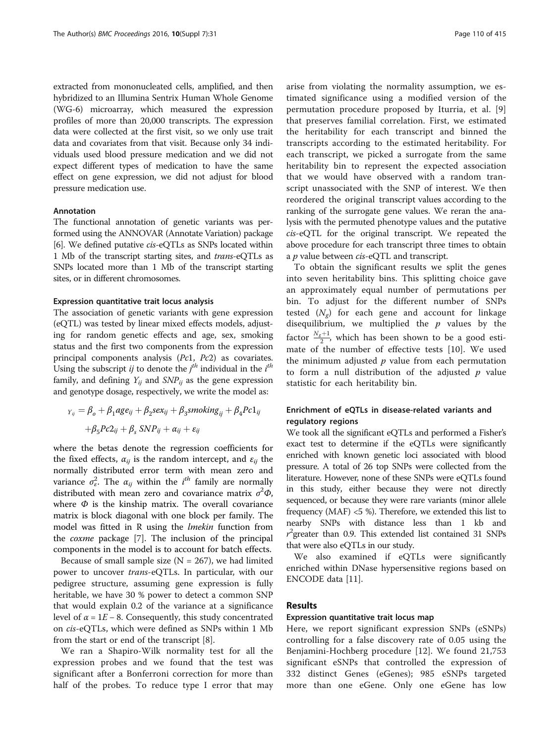extracted from mononucleated cells, amplified, and then hybridized to an Illumina Sentrix Human Whole Genome (WG-6) microarray, which measured the expression profiles of more than 20,000 transcripts. The expression data were collected at the first visit, so we only use trait data and covariates from that visit. Because only 34 individuals used blood pressure medication and we did not expect different types of medication to have the same effect on gene expression, we did not adjust for blood pressure medication use.

# Annotation

The functional annotation of genetic variants was performed using the ANNOVAR (Annotate Variation) package [[6](#page-3-0)]. We defined putative cis-eQTLs as SNPs located within 1 Mb of the transcript starting sites, and trans-eQTLs as SNPs located more than 1 Mb of the transcript starting sites, or in different chromosomes.

#### Expression quantitative trait locus analysis

The association of genetic variants with gene expression (eQTL) was tested by linear mixed effects models, adjusting for random genetic effects and age, sex, smoking status and the first two components from the expression principal components analysis (Pc1, Pc2) as covariates. Using the subscript *ij* to denote the *j<sup>th</sup>* individual in the *i<sup>th</sup>* family and defining *Y*<sub>2</sub> and *SNP*<sub>2</sub> as the gene expression family, and defining  $Y_{ii}$  and  $SNP_{ii}$  as the gene expression and genotype dosage, respectively, we write the model as:

$$
Y_{ij} = \beta_o + \beta_1 age_{ij} + \beta_2 sex_{ij} + \beta_3 smoking_{ij} + \beta_4 Pc1_{ij}
$$

$$
+ \beta_5 Pc2_{ij} + \beta_5 SNP_{ij} + \alpha_{ij} + \varepsilon_{ij}
$$

where the betas denote the regression coefficients for the fixed effects,  $\alpha_{ij}$  is the random intercept, and  $\varepsilon_{ij}$  the normally distributed error term with mean zero and variance  $\sigma_{\epsilon}^2$ . The  $\alpha_{ij}$  within the *i*<sup>th</sup> family are normally distributed with mean zero and covariance matrix  $\sigma^2$ distributed with mean zero and covariance matrix  $\sigma^2 \Phi$ , where  $\Phi$  is the kinship matrix. The overall covariance matrix is block diagonal with one block per family. The model was fitted in R using the *lmekin* function from the coxme package [\[7](#page-3-0)]. The inclusion of the principal components in the model is to account for batch effects.

Because of small sample size ( $N = 267$ ), we had limited power to uncover trans-eQTLs. In particular, with our pedigree structure, assuming gene expression is fully heritable, we have 30 % power to detect a common SNP that would explain 0.2 of the variance at a significance level of  $\alpha = 1E - 8$ . Consequently, this study concentrated on cis-eQTLs, which were defined as SNPs within 1 Mb from the start or end of the transcript [\[8](#page-3-0)].

We ran a Shapiro-Wilk normality test for all the expression probes and we found that the test was significant after a Bonferroni correction for more than half of the probes. To reduce type I error that may arise from violating the normality assumption, we estimated significance using a modified version of the permutation procedure proposed by Iturria, et al. [\[9](#page-3-0)] that preserves familial correlation. First, we estimated the heritability for each transcript and binned the transcripts according to the estimated heritability. For each transcript, we picked a surrogate from the same heritability bin to represent the expected association that we would have observed with a random transcript unassociated with the SNP of interest. We then reordered the original transcript values according to the ranking of the surrogate gene values. We reran the analysis with the permuted phenotype values and the putative cis-eQTL for the original transcript. We repeated the above procedure for each transcript three times to obtain a *p* value between *cis-*eQTL and transcript.

To obtain the significant results we split the genes into seven heritability bins. This splitting choice gave an approximately equal number of permutations per bin. To adjust for the different number of SNPs tested  $(N_e)$  for each gene and account for linkage disequilibrium, we multiplied the  $p$  values by the factor  $\frac{N_g+1}{2}$ , which has been shown to be a good estimate of the number of effective tests [\[10](#page-3-0)]. We used the minimum adjusted  $p$  value from each permutation to form a null distribution of the adjusted  $p$  value statistic for each heritability bin.

# Enrichment of eQTLs in disease-related variants and regulatory regions

We took all the significant eQTLs and performed a Fisher's exact test to determine if the eQTLs were significantly enriched with known genetic loci associated with blood pressure. A total of 26 top SNPs were collected from the literature. However, none of these SNPs were eQTLs found in this study, either because they were not directly sequenced, or because they were rare variants (minor allele frequency (MAF) <5 %). Therefore, we extended this list to nearby SNPs with distance less than 1 kb and r that were also eQTLs in our study.  $^{2}$ greater than 0.9. This extended list contained 31 SNPs

We also examined if eQTLs were significantly enriched within DNase hypersensitive regions based on ENCODE data [\[11\]](#page-3-0).

# Results

#### Expression quantitative trait locus map

Here, we report significant expression SNPs (eSNPs) controlling for a false discovery rate of 0.05 using the Benjamini-Hochberg procedure [[12\]](#page-3-0). We found 21,753 significant eSNPs that controlled the expression of 332 distinct Genes (eGenes); 985 eSNPs targeted more than one eGene. Only one eGene has low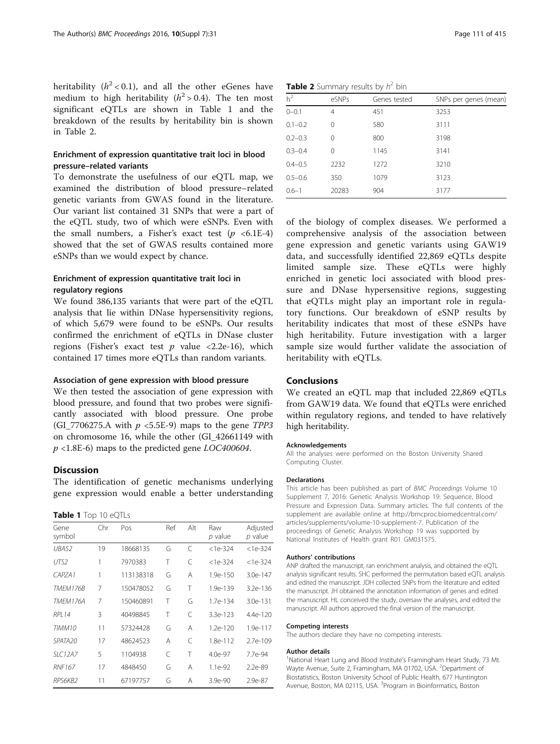heritability  $(h^2 < 0.1)$ , and all the other eGenes have medium to high heritability ( $h^2 > 0.4$ ). The ten most significant eQTLs are shown in Table 1 and the breakdown of the results by heritability bin is shown in Table 2.

# Enrichment of expression quantitative trait loci in blood pressure–related variants

To demonstrate the usefulness of our eQTL map, we examined the distribution of blood pressure–related genetic variants from GWAS found in the literature. Our variant list contained 31 SNPs that were a part of the eQTL study, two of which were eSNPs. Even with the small numbers, a Fisher's exact test  $(p \le 6.1E-4)$ showed that the set of GWAS results contained more eSNPs than we would expect by chance.

# Enrichment of expression quantitative trait loci in regulatory regions

We found 386,135 variants that were part of the eQTL analysis that lie within DNase hypersensitivity regions, of which 5,679 were found to be eSNPs. Our results confirmed the enrichment of eQTLs in DNase cluster regions (Fisher's exact test  $p$  value <2.2e-16), which contained 17 times more eQTLs than random variants.

# Association of gene expression with blood pressure

We then tested the association of gene expression with blood pressure, and found that two probes were significantly associated with blood pressure. One probe (GI\_7706275.A with  $p \le 5.5E-9$ ) maps to the gene TPP3 on chromosome 16, while the other (GI\_42661149 with  $p$  <1.8E-6) maps to the predicted gene *LOC400604*.

#### **Discussion**

The identification of genetic mechanisms underlying gene expression would enable a better understanding

#### Table 1 Top 10 eQTLs

| Gene<br>symbol      | Chr | Pos       | Ref | Alt       | Raw<br>$p$ value | Adjusted<br>$p$ value |
|---------------------|-----|-----------|-----|-----------|------------------|-----------------------|
| UBA52               | 19  | 18668135  | G   | C         | $<1e-324$        | $<$ 1e-324            |
| UTS <sub>2</sub>    | 1   | 7970383   | Τ   | C         | $<$ 1e-324       | $<$ 1e-324            |
| CAPZA1              | 1   | 113138318 | G   | Α         | 1.9e-150         | 3.0e-147              |
| TMFM176B            | 7   | 150478052 | G   | Τ         | 1.9e-139         | $3.2e-1.36$           |
| TMFM176A            | 7   | 150460891 | Τ   | G         | 1.7e-134         | 3.0e-131              |
| <b>RPI 14</b>       | 3   | 40498845  | Τ   | $\subset$ | 3.3e-123         | $4.4e-120$            |
| TIMM10              | 11  | 57324428  | G   | А         | $1.2e-120$       | 1.9e-117              |
| SPATA <sub>20</sub> | 17  | 48624523  | А   | $\subset$ | 1.8e-112         | 2.7e-109              |
| SIC12A7             | 5   | 1104938   | C   | Τ         | $4.0e-97$        | 7.7e-94               |
| <b>RNF167</b>       | 17  | 4848450   | G   | Α         | $1.1e-92$        | 2.2e-89               |
| RPS6KB2             | 11  | 67197757  | G   | Α         | $3.9e-90$        | 2.9e-87               |

| h <sup>2</sup> | eSNPs | Genes tested | SNPs per genes (mean) |
|----------------|-------|--------------|-----------------------|
| $0 - 0.1$      | 4     | 451          | 3253                  |
| $0.1 - 0.2$    | 0     | 580          | 3111                  |
| $0.2 - 0.3$    | 0     | 800          | 3198                  |
| $0.3 - 0.4$    | Ω     | 1145         | 3141                  |
| $0.4 - 0.5$    | 2232  | 1272         | 3210                  |
| $0.5 - 0.6$    | 350   | 1079         | 3123                  |
| $0.6 - 1$      | 20283 | 904          | 3177                  |
|                |       |              |                       |

of the biology of complex diseases. We performed a comprehensive analysis of the association between gene expression and genetic variants using GAW19 data, and successfully identified 22,869 eQTLs despite limited sample size. These eQTLs were highly enriched in genetic loci associated with blood pressure and DNase hypersensitive regions, suggesting that eQTLs might play an important role in regulatory functions. Our breakdown of eSNP results by heritability indicates that most of these eSNPs have high heritability. Future investigation with a larger sample size would further validate the association of heritability with eQTLs.

### **Conclusions**

We created an eQTL map that included 22,869 eQTLs from GAW19 data. We found that eQTLs were enriched within regulatory regions, and tended to have relatively high heritability.

#### Acknowledgements

All the analyses were performed on the Boston University Shared Computing Cluster.

#### **Declarations**

This article has been published as part of BMC Proceedings Volume 10 Supplement 7, 2016: Genetic Analysis Workshop 19: Sequence, Blood Pressure and Expression Data. Summary articles. The full contents of the supplement are available online at [http://bmcproc.biomedcentral.com/](http://bmcproc.biomedcentral.com/articles/supplements/volume-10-supplement-7) [articles/supplements/volume-10-supplement-7.](http://bmcproc.biomedcentral.com/articles/supplements/volume-10-supplement-7) Publication of the proceedings of Genetic Analysis Workshop 19 was supported by National Institutes of Health grant R01 GM031575.

#### Authors' contributions

ANP drafted the manuscript, ran enrichment analysis, and obtained the eQTL analysis significant results. SHC performed the permutation based eQTL analysis and edited the manuscript. JDH collected SNPs from the literature and edited the manuscript. JH obtained the annotation information of genes and edited the manuscript. HL conceived the study, oversaw the analyses, and edited the manuscript. All authors approved the final version of the manuscript.

#### Competing interests

The authors declare they have no competing interests.

#### Author details

<sup>1</sup>National Heart Lung and Blood Institute's Framingham Heart Study, 73 Mt Wayte Avenue, Suite 2, Framingham, MA 01702, USA. <sup>2</sup>Department of Biostatistics, Boston University School of Public Health, 677 Huntington Avenue, Boston, MA 02115, USA. <sup>3</sup>Program in Bioinformatics, Boston